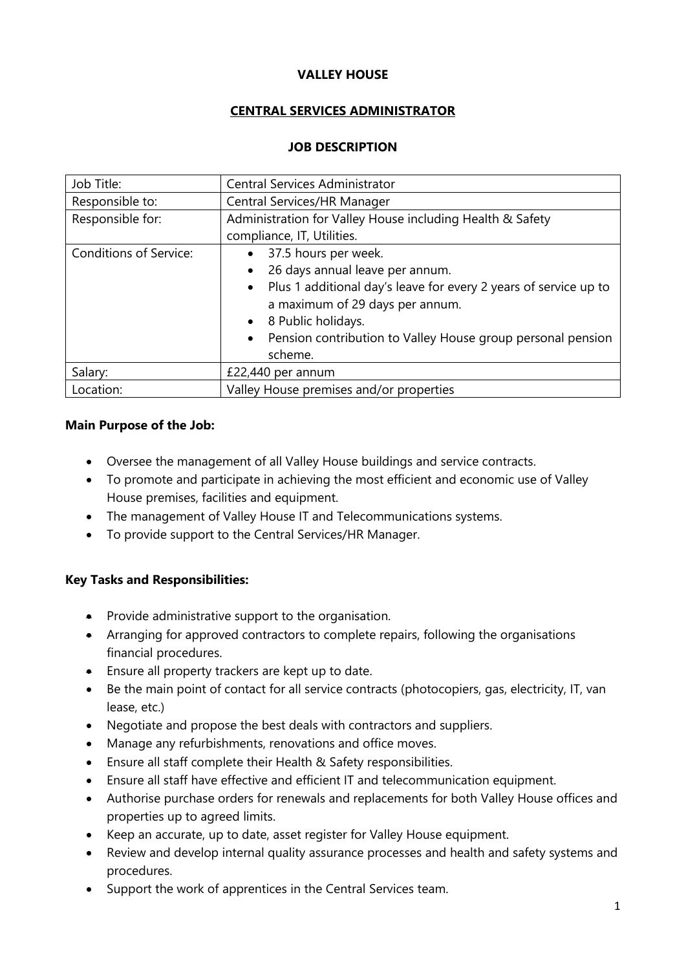# **VALLEY HOUSE**

# **CENTRAL SERVICES ADMINISTRATOR**

# **JOB DESCRIPTION**

| Job Title:                    | Central Services Administrator                                           |
|-------------------------------|--------------------------------------------------------------------------|
| Responsible to:               | Central Services/HR Manager                                              |
| Responsible for:              | Administration for Valley House including Health & Safety                |
|                               | compliance, IT, Utilities.                                               |
| <b>Conditions of Service:</b> | 37.5 hours per week.<br>$\bullet$                                        |
|                               | 26 days annual leave per annum.<br>$\bullet$                             |
|                               | Plus 1 additional day's leave for every 2 years of service up to         |
|                               | a maximum of 29 days per annum.                                          |
|                               | • 8 Public holidays.                                                     |
|                               | Pension contribution to Valley House group personal pension<br>$\bullet$ |
|                               | scheme.                                                                  |
| Salary:                       | £22,440 per annum                                                        |
| Location:                     | Valley House premises and/or properties                                  |

# **Main Purpose of the Job:**

- Oversee the management of all Valley House buildings and service contracts.
- To promote and participate in achieving the most efficient and economic use of Valley House premises, facilities and equipment.
- The management of Valley House IT and Telecommunications systems.
- To provide support to the Central Services/HR Manager.

# **Key Tasks and Responsibilities:**

- Provide administrative support to the organisation.
- Arranging for approved contractors to complete repairs, following the organisations financial procedures.
- Ensure all property trackers are kept up to date.
- Be the main point of contact for all service contracts (photocopiers, gas, electricity, IT, van lease, etc.)
- Negotiate and propose the best deals with contractors and suppliers.
- Manage any refurbishments, renovations and office moves.
- Ensure all staff complete their Health & Safety responsibilities.
- Ensure all staff have effective and efficient IT and telecommunication equipment.
- Authorise purchase orders for renewals and replacements for both Valley House offices and properties up to agreed limits.
- Keep an accurate, up to date, asset register for Valley House equipment.
- Review and develop internal quality assurance processes and health and safety systems and procedures.
- Support the work of apprentices in the Central Services team.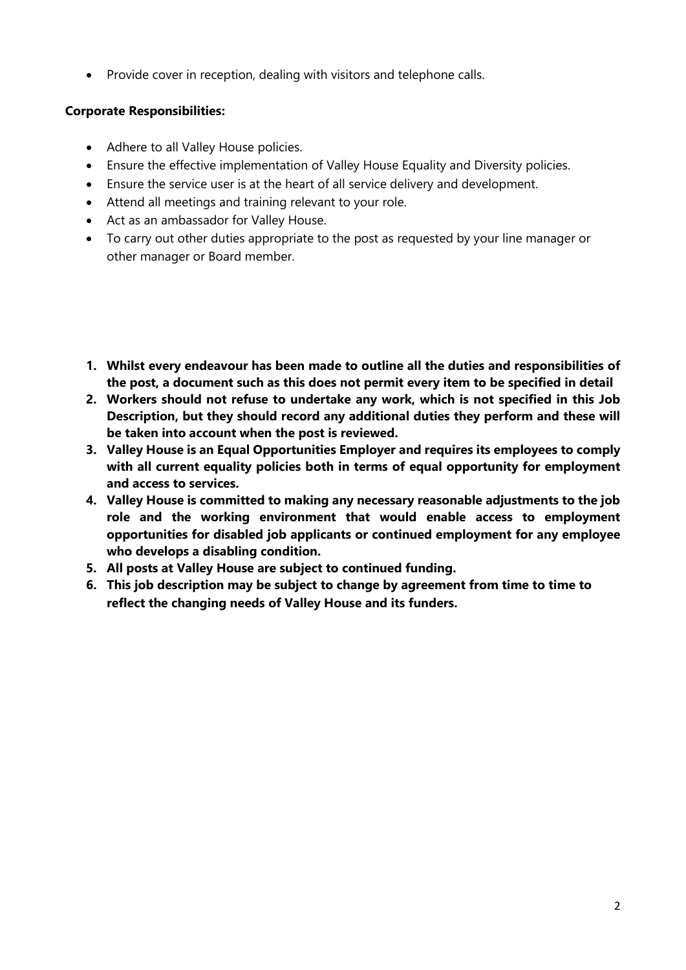• Provide cover in reception, dealing with visitors and telephone calls.

# **Corporate Responsibilities:**

- Adhere to all Valley House policies.
- Ensure the effective implementation of Valley House Equality and Diversity policies.
- Ensure the service user is at the heart of all service delivery and development.
- Attend all meetings and training relevant to your role.
- Act as an ambassador for Valley House.
- To carry out other duties appropriate to the post as requested by your line manager or other manager or Board member.
- **1. Whilst every endeavour has been made to outline all the duties and responsibilities of the post, a document such as this does not permit every item to be specified in detail**
- **2. Workers should not refuse to undertake any work, which is not specified in this Job Description, but they should record any additional duties they perform and these will be taken into account when the post is reviewed.**
- **3. Valley House is an Equal Opportunities Employer and requires its employees to comply with all current equality policies both in terms of equal opportunity for employment and access to services.**
- **4. Valley House is committed to making any necessary reasonable adjustments to the job role and the working environment that would enable access to employment opportunities for disabled job applicants or continued employment for any employee who develops a disabling condition.**
- **5. All posts at Valley House are subject to continued funding.**
- **6. This job description may be subject to change by agreement from time to time to reflect the changing needs of Valley House and its funders.**